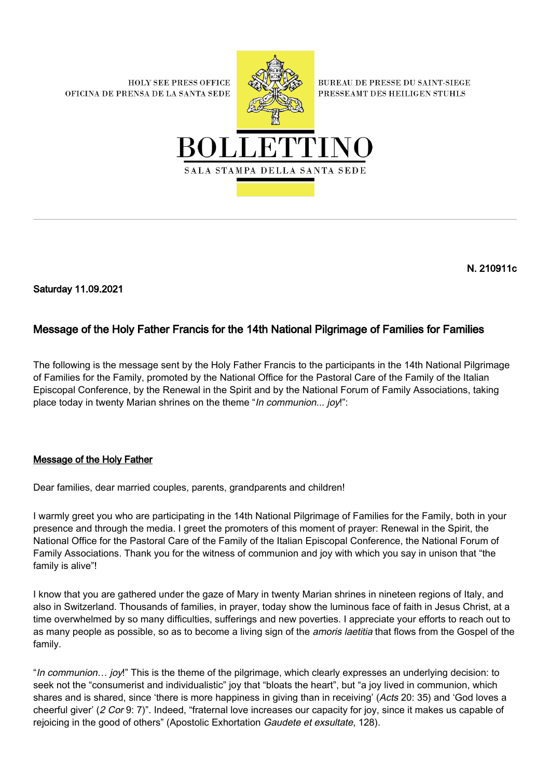**HOLY SEE PRESS OFFICE** OFICINA DE PRENSA DE LA SANTA SEDE



**BUREAU DE PRESSE DU SAINT-SIEGE** PRESSEAMT DES HEILIGEN STUHLS



N. 210911c

Saturday 11.09.2021

## Message of the Holy Father Francis for the 14th National Pilgrimage of Families for Families

The following is the message sent by the Holy Father Francis to the participants in the 14th National Pilgrimage of Families for the Family, promoted by the National Office for the Pastoral Care of the Family of the Italian Episcopal Conference, by the Renewal in the Spirit and by the National Forum of Family Associations, taking place today in twenty Marian shrines on the theme "In communion... joy!":

## Message of the Holy Father

Dear families, dear married couples, parents, grandparents and children!

I warmly greet you who are participating in the 14th National Pilgrimage of Families for the Family, both in your presence and through the media. I greet the promoters of this moment of prayer: Renewal in the Spirit, the National Office for the Pastoral Care of the Family of the Italian Episcopal Conference, the National Forum of Family Associations. Thank you for the witness of communion and joy with which you say in unison that "the family is alive"!

I know that you are gathered under the gaze of Mary in twenty Marian shrines in nineteen regions of Italy, and also in Switzerland. Thousands of families, in prayer, today show the luminous face of faith in Jesus Christ, at a time overwhelmed by so many difficulties, sufferings and new poverties. I appreciate your efforts to reach out to as many people as possible, so as to become a living sign of the *amoris laetitia* that flows from the Gospel of the family.

"In communion… joy!" This is the theme of the pilgrimage, which clearly expresses an underlying decision: to seek not the "consumerist and individualistic" joy that "bloats the heart", but "a joy lived in communion, which shares and is shared, since 'there is more happiness in giving than in receiving' (Acts 20: 35) and 'God loves a cheerful giver' (2 Cor 9: 7)". Indeed, "fraternal love increases our capacity for joy, since it makes us capable of rejoicing in the good of others" (Apostolic Exhortation Gaudete et exsultate, 128).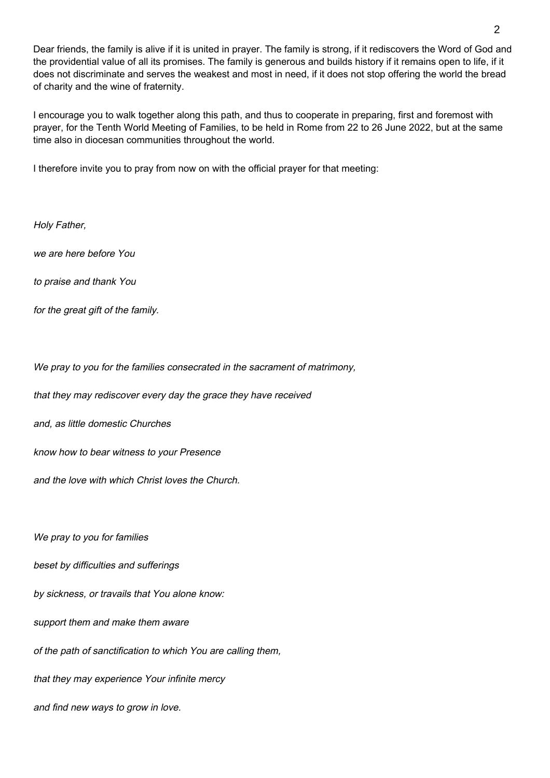Dear friends, the family is alive if it is united in prayer. The family is strong, if it rediscovers the Word of God and the providential value of all its promises. The family is generous and builds history if it remains open to life, if it does not discriminate and serves the weakest and most in need, if it does not stop offering the world the bread of charity and the wine of fraternity.

I encourage you to walk together along this path, and thus to cooperate in preparing, first and foremost with prayer, for the Tenth World Meeting of Families, to be held in Rome from 22 to 26 June 2022, but at the same time also in diocesan communities throughout the world.

I therefore invite you to pray from now on with the official prayer for that meeting:

Holy Father,

we are here before You

to praise and thank You

for the great gift of the family.

We pray to you for the families consecrated in the sacrament of matrimony,

that they may rediscover every day the grace they have received

and, as little domestic Churches

know how to bear witness to your Presence

and the love with which Christ loves the Church.

We pray to you for families

beset by difficulties and sufferings

by sickness, or travails that You alone know:

support them and make them aware

of the path of sanctification to which You are calling them,

that they may experience Your infinite mercy

and find new ways to grow in love.